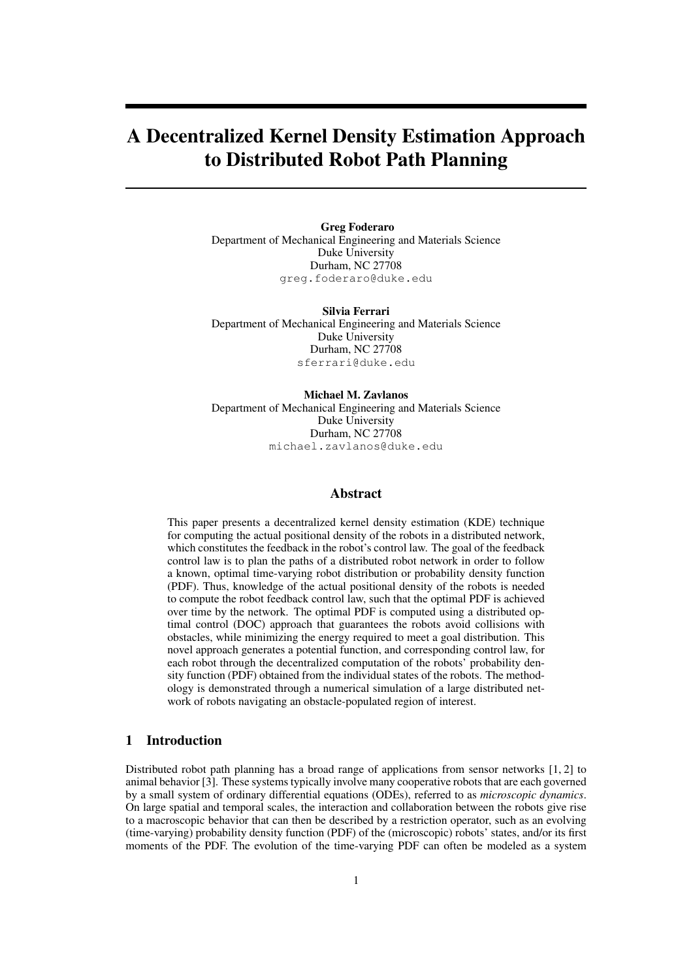# A Decentralized Kernel Density Estimation Approach to Distributed Robot Path Planning

Greg Foderaro Department of Mechanical Engineering and Materials Science Duke University Durham, NC 27708 greg.foderaro@duke.edu

Silvia Ferrari Department of Mechanical Engineering and Materials Science Duke University Durham, NC 27708 sferrari@duke.edu

Michael M. Zavlanos Department of Mechanical Engineering and Materials Science Duke University Durham, NC 27708 michael.zavlanos@duke.edu

## Abstract

This paper presents a decentralized kernel density estimation (KDE) technique for computing the actual positional density of the robots in a distributed network, which constitutes the feedback in the robot's control law. The goal of the feedback control law is to plan the paths of a distributed robot network in order to follow a known, optimal time-varying robot distribution or probability density function (PDF). Thus, knowledge of the actual positional density of the robots is needed to compute the robot feedback control law, such that the optimal PDF is achieved over time by the network. The optimal PDF is computed using a distributed optimal control (DOC) approach that guarantees the robots avoid collisions with obstacles, while minimizing the energy required to meet a goal distribution. This novel approach generates a potential function, and corresponding control law, for each robot through the decentralized computation of the robots' probability density function (PDF) obtained from the individual states of the robots. The methodology is demonstrated through a numerical simulation of a large distributed network of robots navigating an obstacle-populated region of interest.

## 1 Introduction

Distributed robot path planning has a broad range of applications from sensor networks  $[1, 2]$  to animal behavior [3]. These systems typically involve many cooperative robots that are each governed by a small system of ordinary differential equations (ODEs), referred to as *microscopic dynamics*. On large spatial and temporal scales, the interaction and collaboration between the robots give rise to a macroscopic behavior that can then be described by a restriction operator, such as an evolving (time-varying) probability density function (PDF) of the (microscopic) robots' states, and/or its first moments of the PDF. The evolution of the time-varying PDF can often be modeled as a system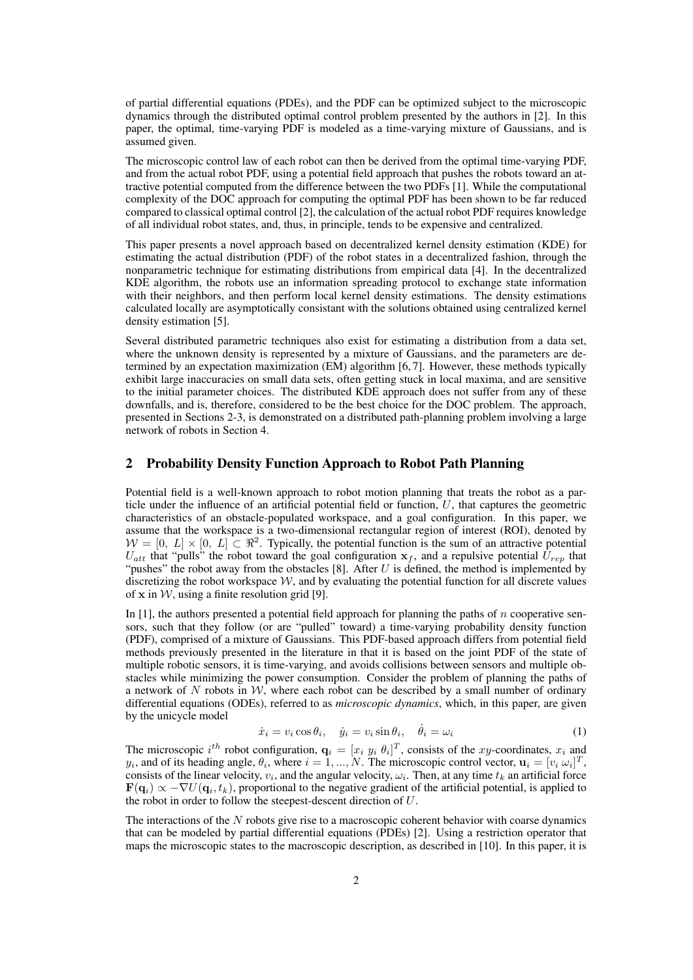of partial differential equations (PDEs), and the PDF can be optimized subject to the microscopic dynamics through the distributed optimal control problem presented by the authors in [2]. In this paper, the optimal, time-varying PDF is modeled as a time-varying mixture of Gaussians, and is assumed given.

The microscopic control law of each robot can then be derived from the optimal time-varying PDF, and from the actual robot PDF, using a potential field approach that pushes the robots toward an attractive potential computed from the difference between the two PDFs [1]. While the computational complexity of the DOC approach for computing the optimal PDF has been shown to be far reduced compared to classical optimal control [2], the calculation of the actual robot PDF requires knowledge of all individual robot states, and, thus, in principle, tends to be expensive and centralized.

This paper presents a novel approach based on decentralized kernel density estimation (KDE) for estimating the actual distribution (PDF) of the robot states in a decentralized fashion, through the nonparametric technique for estimating distributions from empirical data [4]. In the decentralized KDE algorithm, the robots use an information spreading protocol to exchange state information with their neighbors, and then perform local kernel density estimations. The density estimations calculated locally are asymptotically consistant with the solutions obtained using centralized kernel density estimation [5].

Several distributed parametric techniques also exist for estimating a distribution from a data set, where the unknown density is represented by a mixture of Gaussians, and the parameters are determined by an expectation maximization (EM) algorithm [6, 7]. However, these methods typically exhibit large inaccuracies on small data sets, often getting stuck in local maxima, and are sensitive to the initial parameter choices. The distributed KDE approach does not suffer from any of these downfalls, and is, therefore, considered to be the best choice for the DOC problem. The approach, presented in Sections 2-3, is demonstrated on a distributed path-planning problem involving a large network of robots in Section 4.

## 2 Probability Density Function Approach to Robot Path Planning

Potential field is a well-known approach to robot motion planning that treats the robot as a particle under the influence of an artificial potential field or function, *U*, that captures the geometric characteristics of an obstacle-populated workspace, and a goal configuration. In this paper, we assume that the workspace is a two-dimensional rectangular region of interest (ROI), denoted by  $W = [0, L] \times [0, L] \subset \mathbb{R}^2$ . Typically, the potential function is the sum of an attractive potential  $U_{att}$  that "pulls" the robot toward the goal configuration  $\mathbf{x}_f$ , and a repulsive potential  $\hat{U}_{rep}$  that "pushes" the robot away from the obstacles [8]. After *U* is defined, the method is implemented by discretizing the robot workspace  $W$ , and by evaluating the potential function for all discrete values of  $x$  in  $W$ , using a finite resolution grid [9].

In [1], the authors presented a potential field approach for planning the paths of *n* cooperative sensors, such that they follow (or are "pulled" toward) a time-varying probability density function (PDF), comprised of a mixture of Gaussians. This PDF-based approach differs from potential field methods previously presented in the literature in that it is based on the joint PDF of the state of multiple robotic sensors, it is time-varying, and avoids collisions between sensors and multiple obstacles while minimizing the power consumption. Consider the problem of planning the paths of a network of  $N$  robots in  $W$ , where each robot can be described by a small number of ordinary differential equations (ODEs), referred to as *microscopic dynamics*, which, in this paper, are given by the unicycle model

$$
\dot{x}_i = v_i \cos \theta_i, \quad \dot{y}_i = v_i \sin \theta_i, \quad \dot{\theta}_i = \omega_i \tag{1}
$$

The microscopic  $i^{th}$  robot configuration,  $\mathbf{q}_i = [x_i \ y_i \ \theta_i]^T$ , consists of the *xy*-coordinates,  $x_i$  and *y*<sub>*i*</sub>, and of its heading angle,  $\theta_i$ , where  $i = 1, ..., N$ . The microscopic control vector,  $\mathbf{u}_i = [v_i \ \omega_i]^T$ , consists of the linear velocity,  $v_i$ , and the angular velocity,  $\omega_i$ . Then, at any time  $t_k$  an artificial force  $\mathbf{F}(\mathbf{q}_i) \propto -\nabla U(\mathbf{q}_i, t_k)$ , proportional to the negative gradient of the artificial potential, is applied to the robot in order to follow the steepest-descent direction of *U*.

The interactions of the *N* robots give rise to a macroscopic coherent behavior with coarse dynamics that can be modeled by partial differential equations (PDEs) [2]. Using a restriction operator that maps the microscopic states to the macroscopic description, as described in [10]. In this paper, it is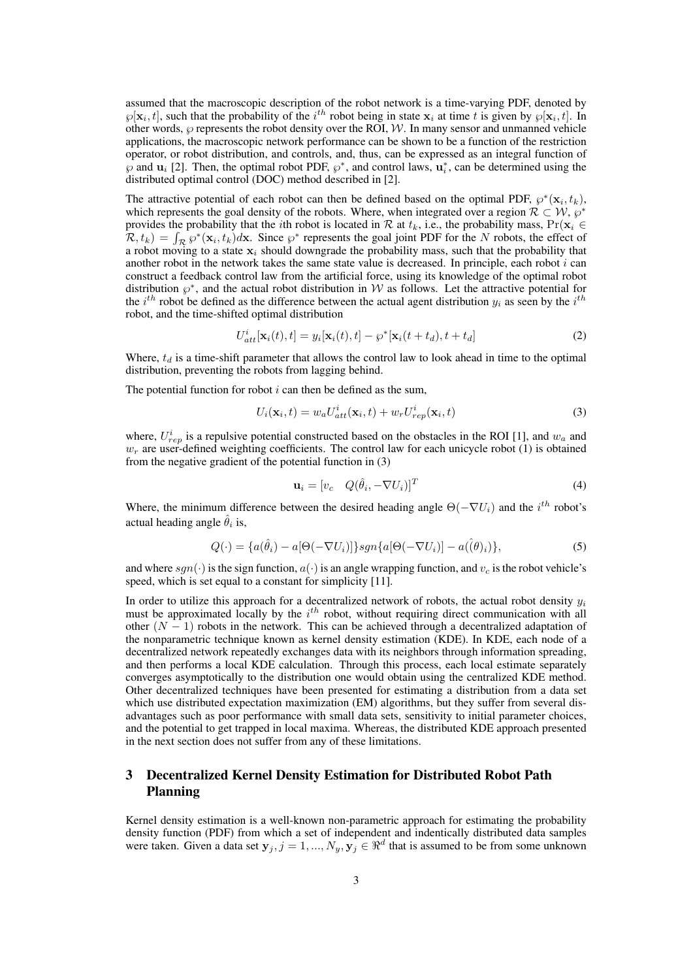assumed that the macroscopic description of the robot network is a time-varying PDF, denoted by  $\wp[\mathbf{x}_i, t]$ , such that the probability of the *i*<sup>th</sup> robot being in state  $\mathbf{x}_i$  at time *t* is given by  $\wp[\mathbf{x}_i, t]$ . In other words,  $\wp$  represents the robot density over the ROI,  $W$ . In many sensor and unmanned vehicle applications, the macroscopic network performance can be shown to be a function of the restriction operator, or robot distribution, and controls, and, thus, can be expressed as an integral function of  $\wp$  and  $\mathbf{u}_i$  [2]. Then, the optimal robot PDF,  $\wp^*$ , and control laws,  $\mathbf{u}_i^*$ , can be determined using the distributed optimal control (DOC) method described in [2].

The attractive potential of each robot can then be defined based on the optimal PDF,  $\varphi^*(\mathbf{x}_i, t_k)$ , which represents the goal density of the robots. Where, when integrated over a region  $\mathcal{R} \subset \mathcal{W}, \wp^*$ provides the probability that the *i*th robot is located in *R* at  $t_k$ , i.e., the probability mass,  $Pr(\mathbf{x}_i \in$  $R(t_k) = \int_R \wp^*(\mathbf{x}_i, t_k) d\mathbf{x}$ . Since  $\wp^*$  represents the goal joint PDF for the *N* robots, the effect of a robot moving to a state  $x_i$  should downgrade the probability mass, such that the probability that another robot in the network takes the same state value is decreased. In principle, each robot *i* can construct a feedback control law from the artificial force, using its knowledge of the optimal robot distribution  $\varphi^*$ , and the actual robot distribution in *W* as follows. Let the attractive potential for the  $i^{th}$  robot be defined as the difference between the actual agent distribution  $y_i$  as seen by the  $i^{th}$ robot, and the time-shifted optimal distribution

$$
U_{att}^i[\mathbf{x}_i(t),t] = y_i[\mathbf{x}_i(t),t] - \varphi^*[\mathbf{x}_i(t+t_d),t+t_d]
$$
\n(2)

Where,  $t_d$  is a time-shift parameter that allows the control law to look ahead in time to the optimal distribution, preventing the robots from lagging behind.

The potential function for robot *i* can then be defined as the sum,

$$
U_i(\mathbf{x}_i, t) = w_a U_{att}^i(\mathbf{x}_i, t) + w_r U_{rep}^i(\mathbf{x}_i, t)
$$
\n(3)

where,  $U_{rep}^i$  is a repulsive potential constructed based on the obstacles in the ROI [1], and  $w_a$  and  $w_r$  are user-defined weighting coefficients. The control law for each unicycle robot (1) is obtained from the negative gradient of the potential function in (3)

$$
\mathbf{u}_i = [v_c \quad Q(\hat{\theta}_i, -\nabla U_i)]^T
$$
\n(4)

Where, the minimum difference between the desired heading angle  $\Theta(-\nabla U_i)$  and the *i*<sup>th</sup> robot's actual heading angle  $\hat{\theta}_i$  is,

$$
Q(\cdot) = \{a(\hat{\theta}_i) - a[\Theta(-\nabla U_i)]\}sgn\{a[\Theta(-\nabla U_i)] - a(\hat{(\theta)_i})\},\tag{5}
$$

and where  $sgn(\cdot)$  is the sign function,  $a(\cdot)$  is an angle wrapping function, and  $v_c$  is the robot vehicle's speed, which is set equal to a constant for simplicity [11].

In order to utilize this approach for a decentralized network of robots, the actual robot density  $y_i$ must be approximated locally by the *i*<sup>th</sup> robot, without requiring direct communication with all other (*N −* 1) robots in the network. This can be achieved through a decentralized adaptation of the nonparametric technique known as kernel density estimation (KDE). In KDE, each node of a decentralized network repeatedly exchanges data with its neighbors through information spreading, and then performs a local KDE calculation. Through this process, each local estimate separately converges asymptotically to the distribution one would obtain using the centralized KDE method. Other decentralized techniques have been presented for estimating a distribution from a data set which use distributed expectation maximization (EM) algorithms, but they suffer from several disadvantages such as poor performance with small data sets, sensitivity to initial parameter choices, and the potential to get trapped in local maxima. Whereas, the distributed KDE approach presented in the next section does not suffer from any of these limitations.

## 3 Decentralized Kernel Density Estimation for Distributed Robot Path Planning

Kernel density estimation is a well-known non-parametric approach for estimating the probability density function (PDF) from which a set of independent and indentically distributed data samples were taken. Given a data set  $y_j$ ,  $j = 1, ..., N_y$ ,  $y_j \in \mathbb{R}^d$  that is assumed to be from some unknown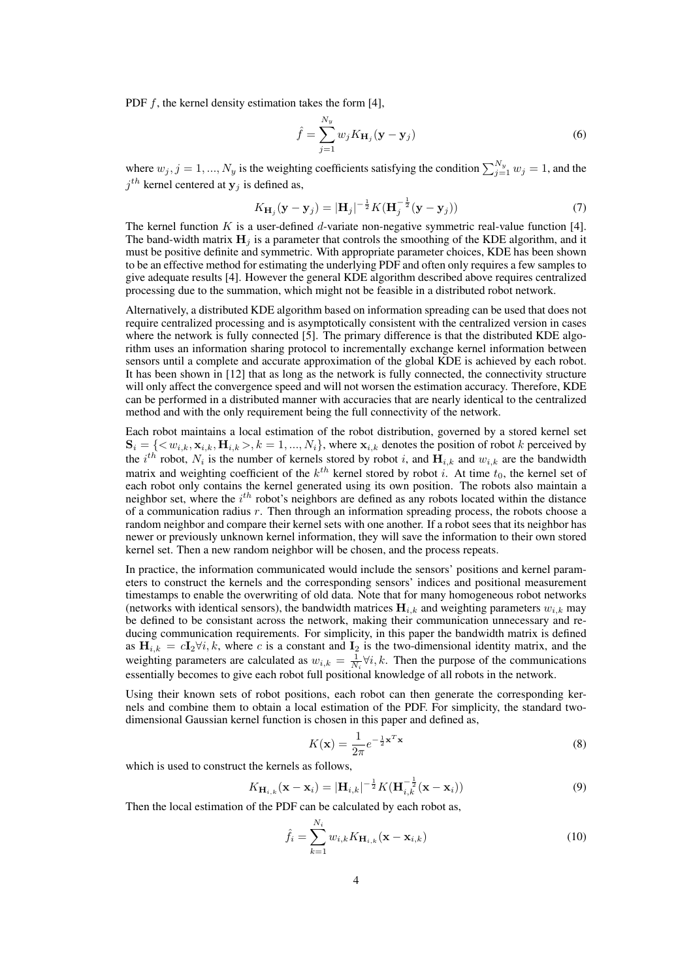PDF *f*, the kernel density estimation takes the form [4],

$$
\hat{f} = \sum_{j=1}^{N_y} w_j K_{\mathbf{H}_j} (\mathbf{y} - \mathbf{y}_j)
$$
\n(6)

where  $w_j$ ,  $j = 1, ..., N_y$  is the weighting coefficients satisfying the condition  $\sum_{j=1}^{N_y} w_j = 1$ , and the  $j<sup>th</sup>$  kernel centered at  $y_j$  is defined as,

$$
K_{\mathbf{H}_{j}}(\mathbf{y} - \mathbf{y}_{j}) = |\mathbf{H}_{j}|^{-\frac{1}{2}} K(\mathbf{H}_{j}^{-\frac{1}{2}}(\mathbf{y} - \mathbf{y}_{j}))
$$
\n(7)

The kernel function *K* is a user-defined *d*-variate non-negative symmetric real-value function [4]. The band-width matrix  $\mathbf{H}_j$  is a parameter that controls the smoothing of the KDE algorithm, and it must be positive definite and symmetric. With appropriate parameter choices, KDE has been shown to be an effective method for estimating the underlying PDF and often only requires a few samples to give adequate results [4]. However the general KDE algorithm described above requires centralized processing due to the summation, which might not be feasible in a distributed robot network.

Alternatively, a distributed KDE algorithm based on information spreading can be used that does not require centralized processing and is asymptotically consistent with the centralized version in cases where the network is fully connected [5]. The primary difference is that the distributed KDE algorithm uses an information sharing protocol to incrementally exchange kernel information between sensors until a complete and accurate approximation of the global KDE is achieved by each robot. It has been shown in [12] that as long as the network is fully connected, the connectivity structure will only affect the convergence speed and will not worsen the estimation accuracy. Therefore, KDE can be performed in a distributed manner with accuracies that are nearly identical to the centralized method and with the only requirement being the full connectivity of the network.

Each robot maintains a local estimation of the robot distribution, governed by a stored kernel set  $S_i = \{ \langle w_{i,k}, x_{i,k}, H_{i,k} \rangle, k = 1, ..., N_i \},$  where  $x_{i,k}$  denotes the position of robot k perceived by the  $i^{th}$  robot,  $N_i$  is the number of kernels stored by robot *i*, and  $H_{i,k}$  and  $w_{i,k}$  are the bandwidth matrix and weighting coefficient of the  $k^{th}$  kernel stored by robot *i*. At time  $t_0$ , the kernel set of each robot only contains the kernel generated using its own position. The robots also maintain a neighbor set, where the *i th* robot's neighbors are defined as any robots located within the distance of a communication radius *r*. Then through an information spreading process, the robots choose a random neighbor and compare their kernel sets with one another. If a robot sees that its neighbor has newer or previously unknown kernel information, they will save the information to their own stored kernel set. Then a new random neighbor will be chosen, and the process repeats.

In practice, the information communicated would include the sensors' positions and kernel parameters to construct the kernels and the corresponding sensors' indices and positional measurement timestamps to enable the overwriting of old data. Note that for many homogeneous robot networks (networks with identical sensors), the bandwidth matrices  $\mathbf{H}_{i,k}$  and weighting parameters  $w_{i,k}$  may be defined to be consistant across the network, making their communication unnecessary and reducing communication requirements. For simplicity, in this paper the bandwidth matrix is defined as  $\mathbf{H}_{i,k} = c\mathbf{I}_2 \forall i, k$ , where *c* is a constant and  $\mathbf{I}_2$  is the two-dimensional identity matrix, and the weighting parameters are calculated as  $w_{i,k} = \frac{1}{N_i} \forall i, k$ . Then the purpose of the communications essentially becomes to give each robot full positional knowledge of all robots in the network.

Using their known sets of robot positions, each robot can then generate the corresponding kernels and combine them to obtain a local estimation of the PDF. For simplicity, the standard twodimensional Gaussian kernel function is chosen in this paper and defined as,

$$
K(\mathbf{x}) = \frac{1}{2\pi} e^{-\frac{1}{2}\mathbf{x}^T \mathbf{x}}
$$
\n(8)

which is used to construct the kernels as follows,

$$
K_{\mathbf{H}_{i,k}}(\mathbf{x} - \mathbf{x}_i) = |\mathbf{H}_{i,k}|^{-\frac{1}{2}} K(\mathbf{H}_{i,k}^{-\frac{1}{2}}(\mathbf{x} - \mathbf{x}_i))
$$
(9)

Then the local estimation of the PDF can be calculated by each robot as,

$$
\hat{f}_i = \sum_{k=1}^{N_i} w_{i,k} K_{\mathbf{H}_{i,k}}(\mathbf{x} - \mathbf{x}_{i,k})
$$
\n(10)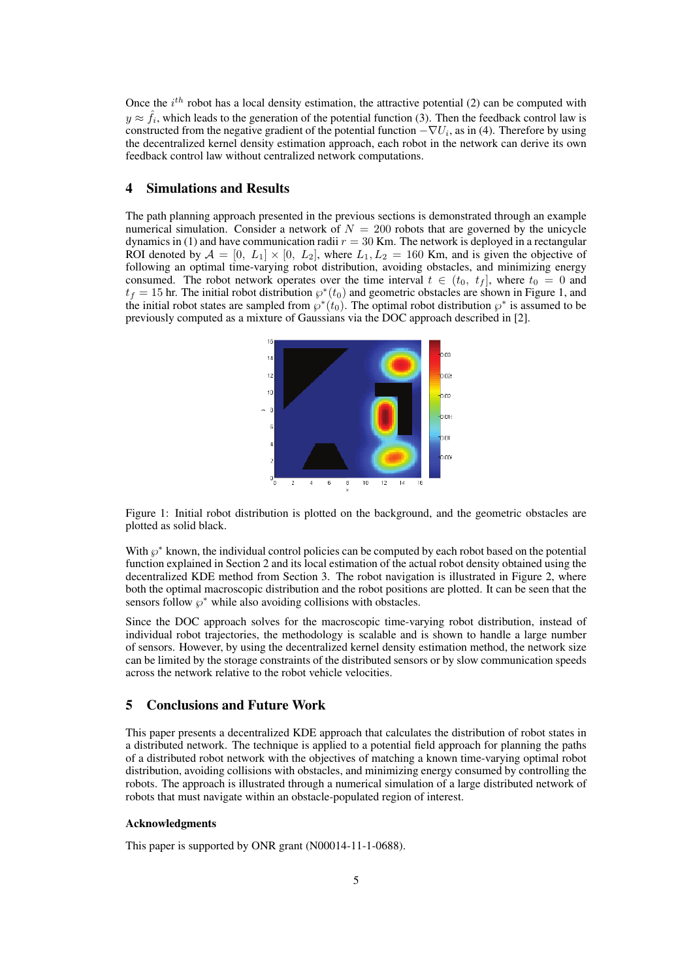Once the *i th* robot has a local density estimation, the attractive potential (2) can be computed with  $y \approx \hat{f}_i$ , which leads to the generation of the potential function (3). Then the feedback control law is constructed from the negative gradient of the potential function *−∇U<sup>i</sup>* , as in (4). Therefore by using the decentralized kernel density estimation approach, each robot in the network can derive its own feedback control law without centralized network computations.

## 4 Simulations and Results

The path planning approach presented in the previous sections is demonstrated through an example numerical simulation. Consider a network of  $N = 200$  robots that are governed by the unicycle dynamics in (1) and have communication radii  $r = 30$  Km. The network is deployed in a rectangular ROI denoted by  $A = [0, L_1] \times [0, L_2]$ , where  $L_1, L_2 = 160$  Km, and is given the objective of following an optimal time-varying robot distribution, avoiding obstacles, and minimizing energy consumed. The robot network operates over the time interval  $t \in (t_0, t_f]$ , where  $t_0 = 0$  and  $t_f = 15$  hr. The initial robot distribution  $\wp^*(t_0)$  and geometric obstacles are shown in Figure 1, and the initial robot states are sampled from  $\varphi^*(t_0)$ . The optimal robot distribution  $\varphi^*$  is assumed to be previously computed as a mixture of Gaussians via the DOC approach described in [2].



Figure 1: Initial robot distribution is plotted on the background, and the geometric obstacles are plotted as solid black.

With  $\wp^*$  known, the individual control policies can be computed by each robot based on the potential function explained in Section 2 and its local estimation of the actual robot density obtained using the decentralized KDE method from Section 3. The robot navigation is illustrated in Figure 2, where both the optimal macroscopic distribution and the robot positions are plotted. It can be seen that the sensors follow  $\varphi^*$  while also avoiding collisions with obstacles.

Since the DOC approach solves for the macroscopic time-varying robot distribution, instead of individual robot trajectories, the methodology is scalable and is shown to handle a large number of sensors. However, by using the decentralized kernel density estimation method, the network size can be limited by the storage constraints of the distributed sensors or by slow communication speeds across the network relative to the robot vehicle velocities.

### 5 Conclusions and Future Work

This paper presents a decentralized KDE approach that calculates the distribution of robot states in a distributed network. The technique is applied to a potential field approach for planning the paths of a distributed robot network with the objectives of matching a known time-varying optimal robot distribution, avoiding collisions with obstacles, and minimizing energy consumed by controlling the robots. The approach is illustrated through a numerical simulation of a large distributed network of robots that must navigate within an obstacle-populated region of interest.

#### Acknowledgments

This paper is supported by ONR grant (N00014-11-1-0688).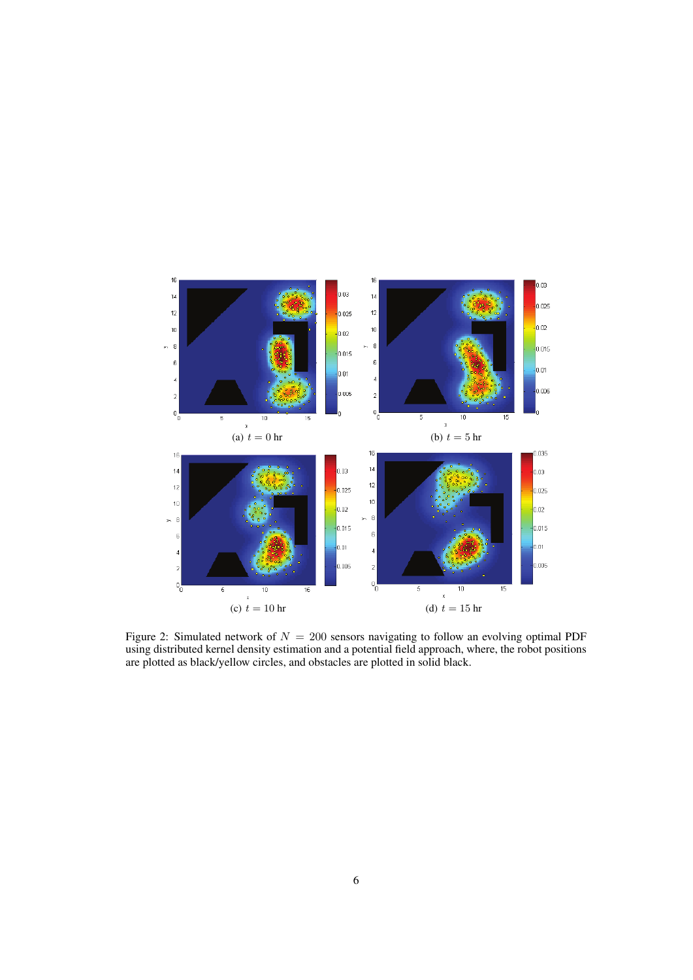

Figure 2: Simulated network of *N* = 200 sensors navigating to follow an evolving optimal PDF using distributed kernel density estimation and a potential field approach, where, the robot positions are plotted as black/yellow circles, and obstacles are plotted in solid black.